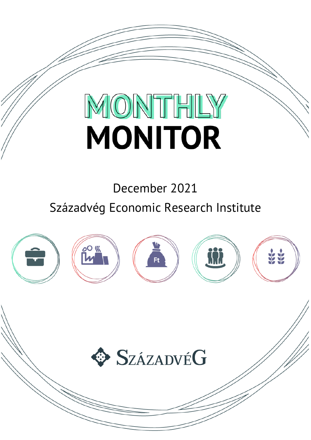# MONTHLY **MONITOR**

December 2021

Századvég Economic Research Institute



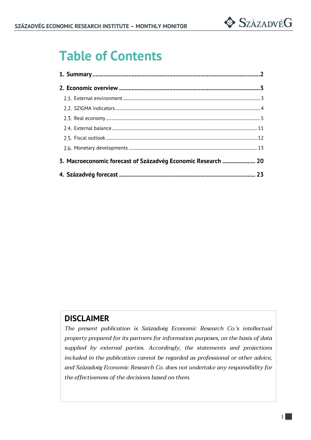

# **Table of Contents**

| 3. Macroeconomic forecast of Századvég Economic Research  20 |  |
|--------------------------------------------------------------|--|
|                                                              |  |

### **DISCLAIMER**

*The present publication is Századvég Economic Research Co.'s intellectual property prepared for its partners for information purposes, on the basis of data supplied by external parties. Accordingly, the statements and projections included in the publication cannot be regarded as professional or other advice, and Századvég Economic Research Co. does not undertake any responsibility for the effectiveness of the decisions based on them.*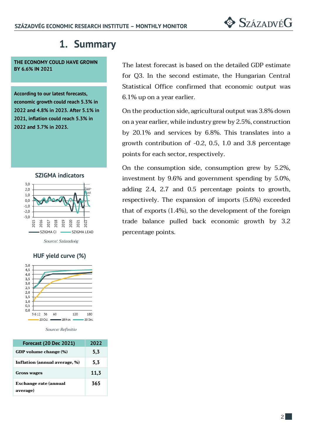# **1. Summary**

**THE ECONOMY COULD HAVE GROWN BY 6.6% IN 2021**

**According to our latest forecasts, economic growth could reach 5.3% in 2022 and 4.8% in 2023. After 5.1% in 2021, inflation could reach 5.3% in 2022 and 3.7% in 2023.**



*Source: Századvég*

#### **HUF yield curve (%)**



*Source: Refinitiv*

| <b>Forecast (20 Dec 2021)</b>            | 2022 |
|------------------------------------------|------|
| GDP volume change (%)                    | 5,3  |
| Inflation (annual average, %)            | 5,3  |
| <b>Gross wages</b>                       | 11,3 |
| <b>Exchange rate (annual</b><br>average) | 365  |

The latest forecast is based on the detailed GDP estimate for Q3. In the second estimate, the Hungarian Central Statistical Office confirmed that economic output was 6.1% up on a year earlier.

On the production side, agricultural output was 3.8% down on a year earlier, while industry grew by 2.5%, construction by 20.1% and services by 6.8%. This translates into a growth contribution of -0.2, 0.5, 1.0 and 3.8 percentage points for each sector, respectively.

On the consumption side, consumption grew by 5.2%, investment by 9.6% and government spending by 5.0%, adding 2.4, 2.7 and 0.5 percentage points to growth, respectively. The expansion of imports (5.6%) exceeded that of exports (1.4%), so the development of the foreign trade balance pulled back economic growth by 3.2 percentage points.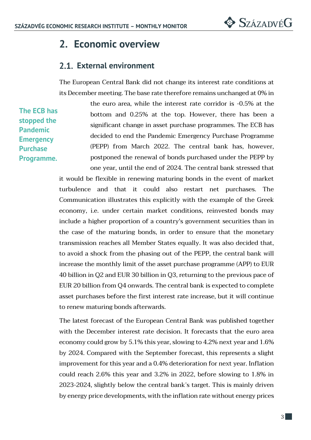## **2. Economic overview**

## **External environment**

The European Central Bank did not change its interest rate conditions at its December meeting. The base rate therefore remains unchanged at 0% in

**The ECB has stopped the Pandemic Emergency Purchase Programme.**

the euro area, while the interest rate corridor is -0.5% at the bottom and 0.25% at the top. However, there has been a significant change in asset purchase programmes. The ECB has decided to end the Pandemic Emergency Purchase Programme (PEPP) from March 2022. The central bank has, however, postponed the renewal of bonds purchased under the PEPP by one year, until the end of 2024. The central bank stressed that

it would be flexible in renewing maturing bonds in the event of market turbulence and that it could also restart net purchases. The Communication illustrates this explicitly with the example of the Greek economy, i.e. under certain market conditions, reinvested bonds may include a higher proportion of a country's government securities than in the case of the maturing bonds, in order to ensure that the monetary transmission reaches all Member States equally. It was also decided that, to avoid a shock from the phasing out of the PEPP, the central bank will increase the monthly limit of the asset purchase programme (APP) to EUR 40 billion in Q2 and EUR 30 billion in Q3, returning to the previous pace of EUR 20 billion from Q4 onwards. The central bank is expected to complete asset purchases before the first interest rate increase, but it will continue to renew maturing bonds afterwards.

The latest forecast of the European Central Bank was published together with the December interest rate decision. It forecasts that the euro area economy could grow by 5.1% this year, slowing to 4.2% next year and 1.6% by 2024. Compared with the September forecast, this represents a slight improvement for this year and a 0.4% deterioration for next year. Inflation could reach 2.6% this year and 3.2% in 2022, before slowing to 1.8% in 2023-2024, slightly below the central bank's target. This is mainly driven by energy price developments, with the inflation rate without energy prices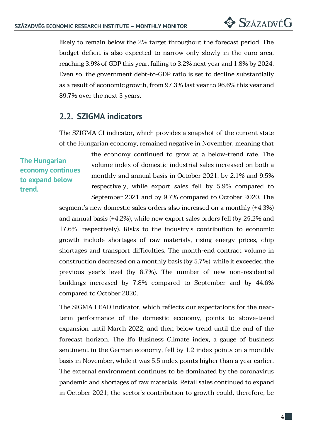likely to remain below the 2% target throughout the forecast period. The budget deficit is also expected to narrow only slowly in the euro area, reaching 3.9% of GDP this year, falling to 3.2% next year and 1.8% by 2024. Even so, the government debt-to-GDP ratio is set to decline substantially as a result of economic growth, from 97.3% last year to 96.6% this year and 89.7% over the next 3 years.

## **SZIGMA indicators**

The SZIGMA CI indicator, which provides a snapshot of the current state of the Hungarian economy, remained negative in November, meaning that

**The Hungarian economy continues to expand below trend.**

the economy continued to grow at a below-trend rate. The volume index of domestic industrial sales increased on both a monthly and annual basis in October 2021, by 2.1% and 9.5% respectively, while export sales fell by 5.9% compared to September 2021 and by 9.7% compared to October 2020. The

segment's new domestic sales orders also increased on a monthly (+4.3%) and annual basis (+4.2%), while new export sales orders fell (by 25.2% and 17.6%, respectively). Risks to the industry's contribution to economic growth include shortages of raw materials, rising energy prices, chip shortages and transport difficulties. The month-end contract volume in construction decreased on a monthly basis (by 5.7%), while it exceeded the previous year's level (by 6.7%). The number of new non-residential buildings increased by 7.8% compared to September and by 44.6% compared to October 2020.

The SIGMA LEAD indicator, which reflects our expectations for the nearterm performance of the domestic economy, points to above-trend expansion until March 2022, and then below trend until the end of the forecast horizon. The Ifo Business Climate index, a gauge of business sentiment in the German economy, fell by 1.2 index points on a monthly basis in November, while it was 5.5 index points higher than a year earlier. The external environment continues to be dominated by the coronavirus pandemic and shortages of raw materials. Retail sales continued to expand in October 2021; the sector's contribution to growth could, therefore, be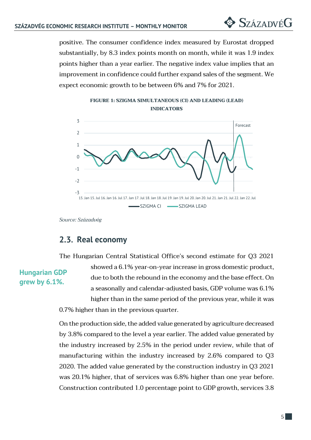positive. The consumer confidence index measured by Eurostat dropped substantially, by 8.3 index points month on month, while it was 1.9 index points higher than a year earlier. The negative index value implies that an improvement in confidence could further expand sales of the segment. We expect economic growth to be between 6% and 7% for 2021.





*Source: Századvég*

## 2.3. Real economy

The Hungarian Central Statistical Office's second estimate for Q3 2021

#### **Hungarian GDP grew by 6.1%.**

showed a 6.1% year-on-year increase in gross domestic product, due to both the rebound in the economy and the base effect. On a seasonally and calendar-adjusted basis, GDP volume was 6.1% higher than in the same period of the previous year, while it was 0.7% higher than in the previous quarter.

On the production side, the added value generated by agriculture decreased by 3.8% compared to the level a year earlier. The added value generated by the industry increased by 2.5% in the period under review, while that of manufacturing within the industry increased by 2.6% compared to Q3 2020. The added value generated by the construction industry in Q3 2021 was 20.1% higher, that of services was 6.8% higher than one year before. Construction contributed 1.0 percentage point to GDP growth, services 3.8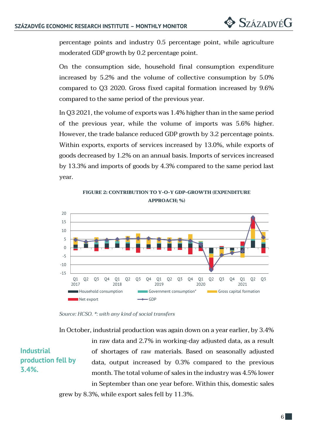percentage points and industry 0.5 percentage point, while agriculture moderated GDP growth by 0.2 percentage point.

On the consumption side, household final consumption expenditure increased by 5.2% and the volume of collective consumption by 5.0% compared to Q3 2020. Gross fixed capital formation increased by 9.6% compared to the same period of the previous year.

In Q3 2021, the volume of exports was 1.4% higher than in the same period of the previous year, while the volume of imports was 5.6% higher. However, the trade balance reduced GDP growth by 3.2 percentage points. Within exports, exports of services increased by 13.0%, while exports of goods decreased by 1.2% on an annual basis. Imports of services increased by 13.3% and imports of goods by 4.3% compared to the same period last year.

**FIGURE 2: CONTRIBUTION TO Y-O-Y GDP-GROWTH (EXPENDITURE APPROACH; %)**



*Source: HCSO. \*: with any kind of social transfers*

In October, industrial production was again down on a year earlier, by 3.4%

**Industrial production fell by 3.4%.**

in raw data and 2.7% in working-day adjusted data, as a result of shortages of raw materials. Based on seasonally adjusted data, output increased by 0.3% compared to the previous month. The total volume of sales in the industry was 4.5% lower in September than one year before. Within this, domestic sales grew by 8.3%, while export sales fell by 11.3%.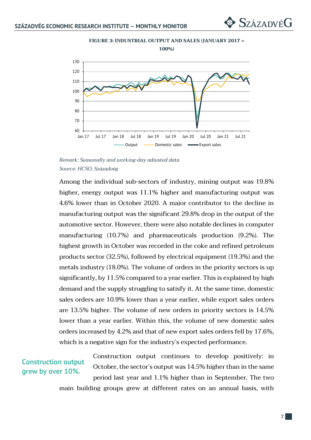

**FIGURE 3: INDUSTRIAL OUTPUT AND SALES (JANUARY 2017 =** 

*Remark: Seasonally and working-day adjusted data Source: HCSO, Századvég*

Among the individual sub-sectors of industry, mining output was 19.8% higher, energy output was 11.1% higher and manufacturing output was 4.6% lower than in October 2020. A major contributor to the decline in manufacturing output was the significant 29.8% drop in the output of the automotive sector. However, there were also notable declines in computer manufacturing (10.7%) and pharmaceuticals production (9.2%). The highest growth in October was recorded in the coke and refined petroleum products sector (32.5%), followed by electrical equipment (19.3%) and the metals industry (18.0%). The volume of orders in the priority sectors is up significantly, by 11.5% compared to a year earlier. This is explained by high demand and the supply struggling to satisfy it. At the same time, domestic sales orders are 10.9% lower than a year earlier, while export sales orders are 13.5% higher. The volume of new orders in priority sectors is 14.5% lower than a year earlier. Within this, the volume of new domestic sales orders increased by 4.2% and that of new export sales orders fell by 17.6%, which is a negative sign for the industry's expected performance.

#### **Construction output grew by over 10%.**

Construction output continues to develop positively: in October, the sector's output was 14.5% higher than in the same period last year and 1.1% higher than in September. The two main building groups grew at different rates on an annual basis, with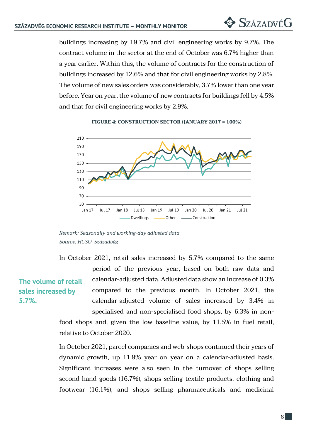buildings increasing by 19.7% and civil engineering works by 9.7%. The contract volume in the sector at the end of October was 6.7% higher than a year earlier. Within this, the volume of contracts for the construction of buildings increased by 12.6% and that for civil engineering works by 2.8%. The volume of new sales orders was considerably, 3.7% lower than one year before. Year on year, the volume of new contracts for buildings fell by 4.5% and that for civil engineering works by 2.9%.

#### **FIGURE 4: CONSTRUCTION SECTOR (JANUARY 2017 = 100%)**



*Remark: Seasonally and working-day adjusted data Source: HCSO, Századvég*

In October 2021, retail sales increased by 5.7% compared to the same period of the previous year, based on both raw data and calendar-adjusted data. Adjusted data show an increase of 0.3% compared to the previous month. In October 2021, the calendar-adjusted volume of sales increased by 3.4% in specialised and non-specialised food shops, by 6.3% in nonfood shops and, given the low baseline value, by 11.5% in fuel retail, **The volume of retail sales increased by** 

relative to October 2020.

**5.7%.**

In October 2021, parcel companies and web-shops continued their years of dynamic growth, up 11.9% year on year on a calendar-adjusted basis. Significant increases were also seen in the turnover of shops selling second-hand goods (16.7%), shops selling textile products, clothing and footwear (16.1%), and shops selling pharmaceuticals and medicinal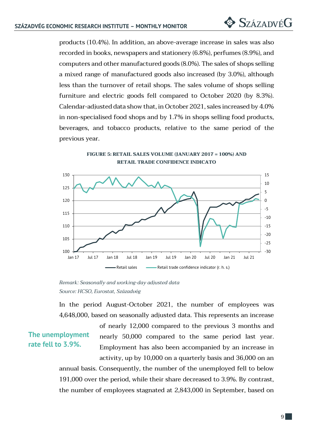products (10.4%). In addition, an above-average increase in sales was also recorded in books, newspapers and stationery (6.8%), perfumes (8.9%), and computers and other manufactured goods (8.0%). The sales of shops selling a mixed range of manufactured goods also increased (by 3.0%), although less than the turnover of retail shops. The sales volume of shops selling furniture and electric goods fell compared to October 2020 (by 8.3%). Calendar-adjusted data show that, in October 2021, sales increased by 4.0% in non-specialised food shops and by 1.7% in shops selling food products, beverages, and tobacco products, relative to the same period of the previous year.

> **FIGURE 5: RETAIL SALES VOLUME (JANUARY 2017 = 100%) AND RETAIL TRADE CONFIDENCE INDICATO**



*Remark: Seasonally and working-day adjusted data Source: HCSO, Eurostat, Századvég*

In the period August-October 2021, the number of employees was 4,648,000, based on seasonally adjusted data. This represents an increase

#### **The unemployment rate fell to 3.9%.**

of nearly 12,000 compared to the previous 3 months and nearly 50,000 compared to the same period last year. Employment has also been accompanied by an increase in activity, up by 10,000 on a quarterly basis and 36,000 on an annual basis. Consequently, the number of the unemployed fell to below 191,000 over the period, while their share decreased to 3.9%. By contrast, the number of employees stagnated at 2,843,000 in September, based on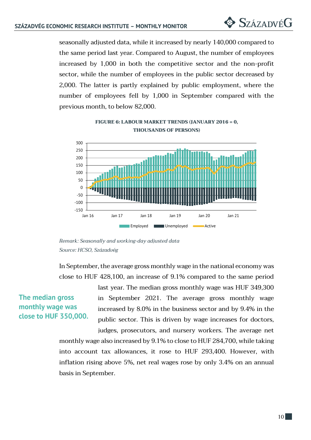seasonally adjusted data, while it increased by nearly 140,000 compared to the same period last year. Compared to August, the number of employees increased by 1,000 in both the competitive sector and the non-profit sector, while the number of employees in the public sector decreased by 2,000. The latter is partly explained by public employment, where the number of employees fell by 1,000 in September compared with the previous month, to below 82,000.



**FIGURE 6: LABOUR MARKET TRENDS (JANUARY 2016 = 0, THOUSANDS OF PERSONS)**

In September, the average gross monthly wage in the national economy was close to HUF 428,100, an increase of 9.1% compared to the same period

### **The median gross monthly wage was close to HUF 350,000.**

last year. The median gross monthly wage was HUF 349,300 in September 2021. The average gross monthly wage increased by 8.0% in the business sector and by 9.4% in the public sector. This is driven by wage increases for doctors,

judges, prosecutors, and nursery workers. The average net monthly wage also increased by 9.1% to close to HUF 284,700, while taking into account tax allowances, it rose to HUF 293,400. However, with inflation rising above 5%, net real wages rose by only 3.4% on an annual basis in September.

*Remark: Seasonally and working-day adjusted data Source: HCSO, Századvég*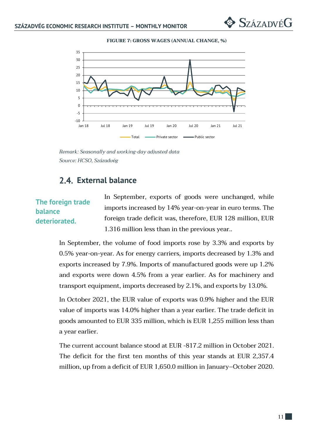



*Remark: Seasonally and working-day adjusted data Source: HCSO, Századvég*

#### **External balance**

#### **The foreign trade balance deteriorated.**

In September, exports of goods were unchanged, while imports increased by 14% year-on-year in euro terms. The foreign trade deficit was, therefore, EUR 128 million, EUR 1.316 million less than in the previous year..

In September, the volume of food imports rose by 3.3% and exports by 0.5% year-on-year. As for energy carriers, imports decreased by 1.3% and exports increased by 7.9%. Imports of manufactured goods were up 1.2% and exports were down 4.5% from a year earlier. As for machinery and transport equipment, imports decreased by 2.1%, and exports by 13.0%.

In October 2021, the EUR value of exports was 0.9% higher and the EUR value of imports was 14.0% higher than a year earlier. The trade deficit in goods amounted to EUR 335 million, which is EUR 1,255 million less than a year earlier.

The current account balance stood at EUR -817.2 million in October 2021. The deficit for the first ten months of this year stands at EUR 2,357.4 million, up from a deficit of EUR 1,650.0 million in January–October 2020.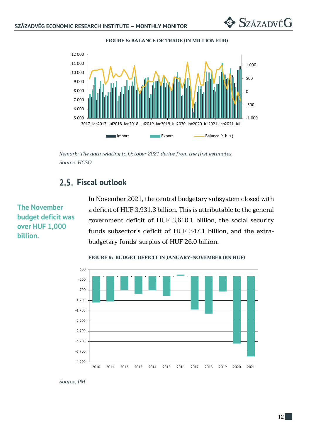

**FIGURE 8: BALANCE OF TRADE (IN MILLION EUR)**

*Remark: The data relating to October 2021 derive from the first estimates. Source: HCSO*

## **Fiscal outlook**

## **The November budget deficit was over HUF 1,000 billion.**

In November 2021, the central budgetary subsystem closed with a deficit of HUF 3,931.3 billion. This is attributable to the general government deficit of HUF 3,610.1 billion, the social security funds subsector's deficit of HUF 347.1 billion, and the extrabudgetary funds' surplus of HUF 26.0 billion.



**FIGURE 9: BUDGET DEFICIT IN JANUARY-NOVEMBER (BN HUF)**

*Source: PM*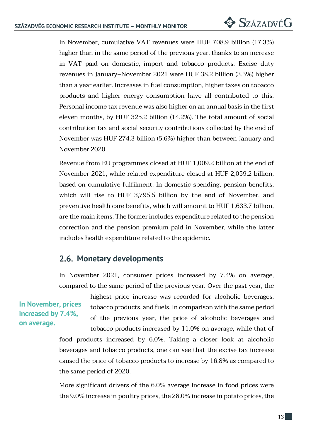In November, cumulative VAT revenues were HUF 708.9 billion (17.3%) higher than in the same period of the previous year, thanks to an increase in VAT paid on domestic, import and tobacco products. Excise duty revenues in January–November 2021 were HUF 38.2 billion (3.5%) higher than a year earlier. Increases in fuel consumption, higher taxes on tobacco products and higher energy consumption have all contributed to this. Personal income tax revenue was also higher on an annual basis in the first eleven months, by HUF 325.2 billion (14.2%). The total amount of social contribution tax and social security contributions collected by the end of November was HUF 274.3 billion (5.6%) higher than between January and November 2020.

Revenue from EU programmes closed at HUF 1,009.2 billion at the end of November 2021, while related expenditure closed at HUF 2,059.2 billion, based on cumulative fulfilment. In domestic spending, pension benefits, which will rise to HUF 3,795.5 billion by the end of November, and preventive health care benefits, which will amount to HUF 1,633.7 billion, are the main items. The former includes expenditure related to the pension correction and the pension premium paid in November, while the latter includes health expenditure related to the epidemic.

## **Monetary developments**

In November 2021, consumer prices increased by 7.4% on average, compared to the same period of the previous year. Over the past year, the

## **In November, prices increased by 7.4%, on average.**

highest price increase was recorded for alcoholic beverages, tobacco products, and fuels. In comparison with the same period of the previous year, the price of alcoholic beverages and tobacco products increased by 11.0% on average, while that of

food products increased by 6.0%. Taking a closer look at alcoholic beverages and tobacco products, one can see that the excise tax increase caused the price of tobacco products to increase by 16.8% as compared to the same period of 2020.

More significant drivers of the 6.0% average increase in food prices were the 9.0% increase in poultry prices, the 28.0% increase in potato prices, the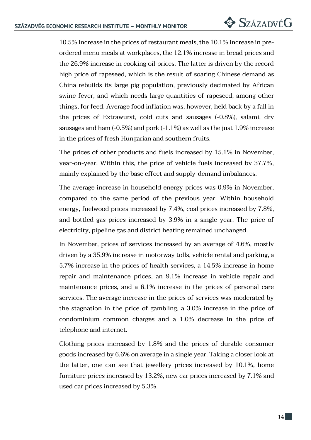10.5% increase in the prices of restaurant meals, the 10.1% increase in preordered menu meals at workplaces, the 12.1% increase in bread prices and the 26.9% increase in cooking oil prices. The latter is driven by the record high price of rapeseed, which is the result of soaring Chinese demand as China rebuilds its large pig population, previously decimated by African swine fever, and which needs large quantities of rapeseed, among other things, for feed. Average food inflation was, however, held back by a fall in the prices of Extrawurst, cold cuts and sausages (-0.8%), salami, dry sausages and ham (-0.5%) and pork (-1.1%) as well as the just 1.9% increase in the prices of fresh Hungarian and southern fruits.

The prices of other products and fuels increased by 15.1% in November, year-on-year. Within this, the price of vehicle fuels increased by 37.7%, mainly explained by the base effect and supply-demand imbalances.

The average increase in household energy prices was 0.9% in November, compared to the same period of the previous year. Within household energy, fuelwood prices increased by 7.4%, coal prices increased by 7.8%, and bottled gas prices increased by 3.9% in a single year. The price of electricity, pipeline gas and district heating remained unchanged.

In November, prices of services increased by an average of 4.6%, mostly driven by a 35.9% increase in motorway tolls, vehicle rental and parking, a 5.7% increase in the prices of health services, a 14.5% increase in home repair and maintenance prices, an 9.1% increase in vehicle repair and maintenance prices, and a 6.1% increase in the prices of personal care services. The average increase in the prices of services was moderated by the stagnation in the price of gambling, a 3.0% increase in the price of condominium common charges and a 1.0% decrease in the price of telephone and internet.

Clothing prices increased by 1.8% and the prices of durable consumer goods increased by 6.6% on average in a single year. Taking a closer look at the latter, one can see that jewellery prices increased by 10.1%, home furniture prices increased by 13.2%, new car prices increased by 7.1% and used car prices increased by 5.3%.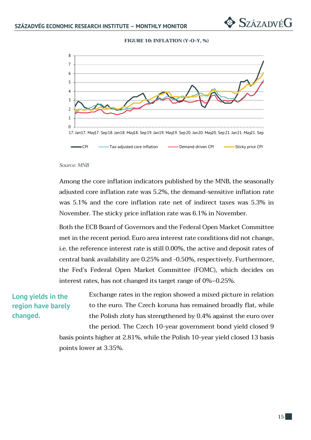#### **FIGURE 10: INFLATION (Y-O-Y, %)**



#### *Source: MNB*

Among the core inflation indicators published by the MNB, the seasonally adjusted core inflation rate was 5.2%, the demand-sensitive inflation rate was 5.1% and the core inflation rate net of indirect taxes was 5.3% in November. The sticky price inflation rate was 6.1% in November.

Both the ECB Board of Governors and the Federal Open Market Committee met in the recent period. Euro area interest rate conditions did not change, i.e. the reference interest rate is still 0.00%, the active and deposit rates of central bank availability are 0.25% and -0.50%, respectively. Furthermore, the Fed's Federal Open Market Committee (FOMC), which decides on interest rates, has not changed its target range of 0%–0.25%.

#### **Long yields in the region have barely changed.**

Exchange rates in the region showed a mixed picture in relation to the euro. The Czech koruna has remained broadly flat, while the Polish zloty has strengthened by 0.4% against the euro over the period. The Czech 10-year government bond yield closed 9 basis points higher at 2.81%, while the Polish 10-year yield closed 13 basis points lower at 3.35%.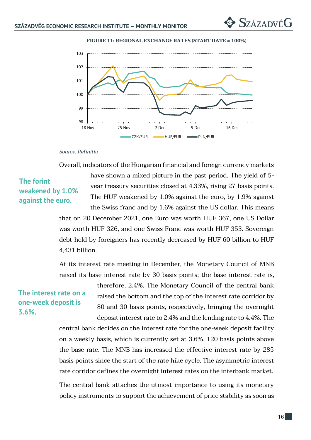

**FIGURE 11: REGIONAL EXCHANGE RATES (START DATE = 100%)**

#### *Source: Refinitiv*

Overall, indicators of the Hungarian financial and foreign currency markets

### **The forint weakened by 1.0% against the euro.**

have shown a mixed picture in the past period. The yield of 5year treasury securities closed at 4.33%, rising 27 basis points. The HUF weakened by 1.0% against the euro, by 1.9% against the Swiss franc and by 1.6% against the US dollar. This means

that on 20 December 2021, one Euro was worth HUF 367, one US Dollar was worth HUF 326, and one Swiss Franc was worth HUF 353. Sovereign debt held by foreigners has recently decreased by HUF 60 billion to HUF 4,431 billion.

At its interest rate meeting in December, the Monetary Council of MNB raised its base interest rate by 30 basis points; the base interest rate is,

#### **The interest rate on a one-week deposit is 3.6%.**

therefore, 2.4%. The Monetary Council of the central bank raised the bottom and the top of the interest rate corridor by 80 and 30 basis points, respectively, bringing the overnight deposit interest rate to 2.4% and the lending rate to 4.4%. The

central bank decides on the interest rate for the one-week deposit facility on a weekly basis, which is currently set at 3.6%, 120 basis points above the base rate. The MNB has increased the effective interest rate by 285 basis points since the start of the rate hike cycle. The asymmetric interest rate corridor defines the overnight interest rates on the interbank market.

The central bank attaches the utmost importance to using its monetary policy instruments to support the achievement of price stability as soon as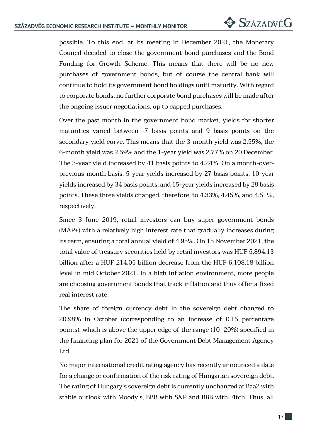possible. To this end, at its meeting in December 2021, the Monetary Council decided to close the government bond purchases and the Bond Funding for Growth Scheme. This means that there will be no new purchases of government bonds, but of course the central bank will continue to hold its government bond holdings until maturity. With regard to corporate bonds, no further corporate bond purchases will be made after the ongoing issuer negotiations, up to capped purchases.

Over the past month in the government bond market, yields for shorter maturities varied between -7 basis points and 9 basis points on the secondary yield curve. This means that the 3-month yield was 2.55%, the 6-month yield was 2.59% and the 1-year yield was 2.77% on 20 December. The 3-year yield increased by 41 basis points to 4.24%. On a month-overprevious-month basis, 5-year yields increased by 27 basis points, 10-year yields increased by 34 basis points, and 15-year yields increased by 29 basis points. These three yields changed, therefore, to 4.33%, 4.45%, and 4.51%, respectively.

Since 3 June 2019, retail investors can buy super government bonds (MÁP+) with a relatively high interest rate that gradually increases during its term, ensuring a total annual yield of 4.95%. On 15 November 2021, the total value of treasury securities held by retail investors was HUF 5,894.13 billion after a HUF 214.05 billion decrease from the HUF 6,108.18 billion level in mid October 2021. In a high inflation environment, more people are choosing government bonds that track inflation and thus offer a fixed real interest rate.

The share of foreign currency debt in the sovereign debt changed to 20.98% in October (corresponding to an increase of 0.15 percentage points), which is above the upper edge of the range (10–20%) specified in the financing plan for 2021 of the Government Debt Management Agency Ltd.

No major international credit rating agency has recently announced a date for a change or confirmation of the risk rating of Hungarian sovereign debt. The rating of Hungary's sovereign debt is currently unchanged at Baa2 with stable outlook with Moody's, BBB with S&P and BBB with Fitch. Thus, all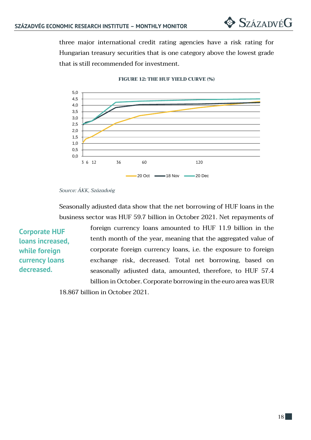three major international credit rating agencies have a risk rating for Hungarian treasury securities that is one category above the lowest grade that is still recommended for investment.



#### **FIGURE 12: THE HUF YIELD CURVE (%)**

*Source: ÁKK, Századvég*

Seasonally adjusted data show that the net borrowing of HUF loans in the business sector was HUF 59.7 billion in October 2021. Net repayments of

**Corporate HUF loans increased, while foreign currency loans decreased.** 

foreign currency loans amounted to HUF 11.9 billion in the tenth month of the year, meaning that the aggregated value of corporate foreign currency loans, i.e. the exposure to foreign exchange risk, decreased. Total net borrowing, based on seasonally adjusted data, amounted, therefore, to HUF 57.4 billion in October. Corporate borrowing in the euro area was EUR

18.867 billion in October 2021.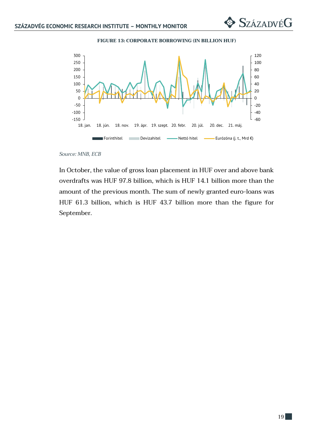$\diamondsuit$  SzázadvéG





*Source: MNB, ECB*

In October, the value of gross loan placement in HUF over and above bank overdrafts was HUF 97.8 billion, which is HUF 14.1 billion more than the amount of the previous month. The sum of newly granted euro-loans was HUF 61.3 billion, which is HUF 43.7 billion more than the figure for September.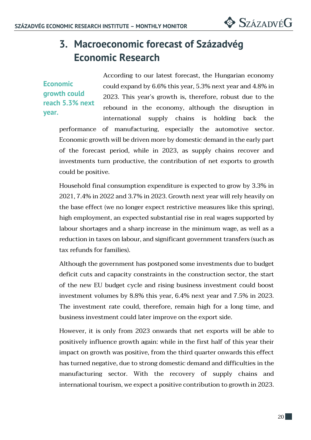# **3. Macroeconomic forecast of Századvég Economic Research**

**Economic growth could reach 5.3% next year.**

According to our latest forecast, the Hungarian economy could expand by 6.6% this year, 5.3% next year and 4.8% in 2023. This year's growth is, therefore, robust due to the rebound in the economy, although the disruption in international supply chains is holding back the performance of manufacturing, especially the automotive sector. Economic growth will be driven more by domestic demand in the early part of the forecast period, while in 2023, as supply chains recover and investments turn productive, the contribution of net exports to growth could be positive.

Household final consumption expenditure is expected to grow by 3.3% in 2021, 7.4% in 2022 and 3.7% in 2023. Growth next year will rely heavily on the base effect (we no longer expect restrictive measures like this spring), high employment, an expected substantial rise in real wages supported by labour shortages and a sharp increase in the minimum wage, as well as a reduction in taxes on labour, and significant government transfers (such as tax refunds for families).

Although the government has postponed some investments due to budget deficit cuts and capacity constraints in the construction sector, the start of the new EU budget cycle and rising business investment could boost investment volumes by 8.8% this year, 6.4% next year and 7.5% in 2023. The investment rate could, therefore, remain high for a long time, and business investment could later improve on the export side.

However, it is only from 2023 onwards that net exports will be able to positively influence growth again: while in the first half of this year their impact on growth was positive, from the third quarter onwards this effect has turned negative, due to strong domestic demand and difficulties in the manufacturing sector. With the recovery of supply chains and international tourism, we expect a positive contribution to growth in 2023.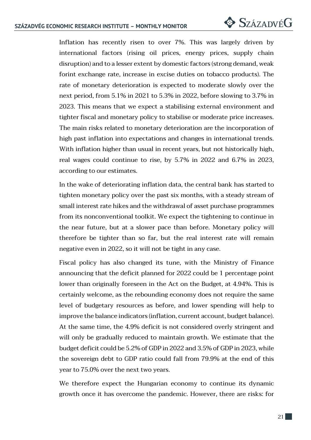Inflation has recently risen to over 7%. This was largely driven by international factors (rising oil prices, energy prices, supply chain disruption) and to a lesser extent by domestic factors (strong demand, weak forint exchange rate, increase in excise duties on tobacco products). The rate of monetary deterioration is expected to moderate slowly over the next period, from 5.1% in 2021 to 5.3% in 2022, before slowing to 3.7% in 2023. This means that we expect a stabilising external environment and tighter fiscal and monetary policy to stabilise or moderate price increases. The main risks related to monetary deterioration are the incorporation of high past inflation into expectations and changes in international trends. With inflation higher than usual in recent years, but not historically high, real wages could continue to rise, by 5.7% in 2022 and 6.7% in 2023, according to our estimates.

In the wake of deteriorating inflation data, the central bank has started to tighten monetary policy over the past six months, with a steady stream of small interest rate hikes and the withdrawal of asset purchase programmes from its nonconventional toolkit. We expect the tightening to continue in the near future, but at a slower pace than before. Monetary policy will therefore be tighter than so far, but the real interest rate will remain negative even in 2022, so it will not be tight in any case.

Fiscal policy has also changed its tune, with the Ministry of Finance announcing that the deficit planned for 2022 could be 1 percentage point lower than originally foreseen in the Act on the Budget, at 4.94%. This is certainly welcome, as the rebounding economy does not require the same level of budgetary resources as before, and lower spending will help to improve the balance indicators (inflation, current account, budget balance). At the same time, the 4.9% deficit is not considered overly stringent and will only be gradually reduced to maintain growth. We estimate that the budget deficit could be 5.2% of GDP in 2022 and 3.5% of GDP in 2023, while the sovereign debt to GDP ratio could fall from 79.9% at the end of this year to 75.0% over the next two years.

We therefore expect the Hungarian economy to continue its dynamic growth once it has overcome the pandemic. However, there are risks: for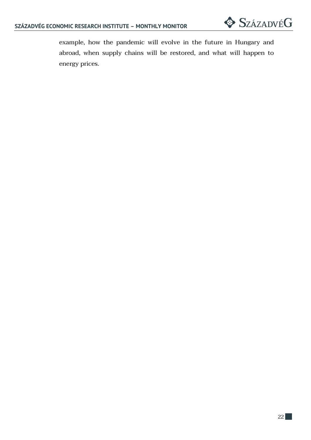example, how the pandemic will evolve in the future in Hungary and abroad, when supply chains will be restored, and what will happen to energy prices.